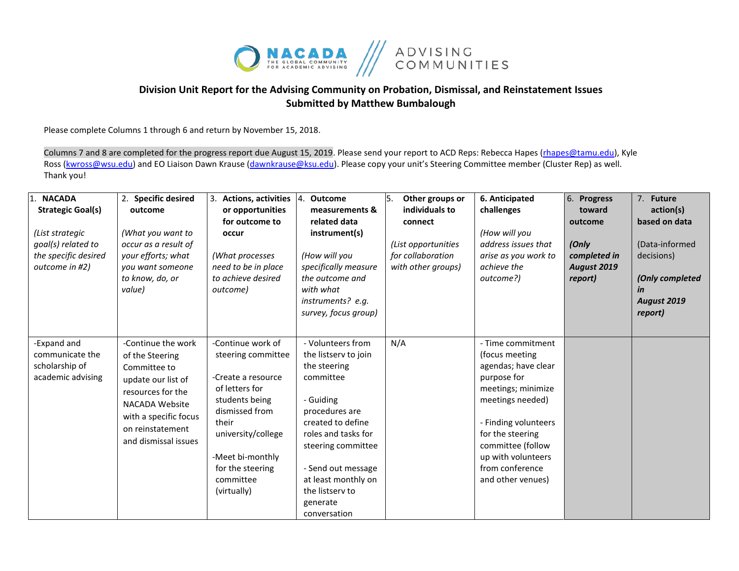

## **Division Unit Report for the Advising Community on Probation, Dismissal, and Reinstatement Issues Submitted by Matthew Bumbalough**

Please complete Columns 1 through 6 and return by November 15, 2018.

Columns 7 and 8 are completed for the progress report due August 15, 2019. Please send your report to ACD Reps: Rebecca Hapes (rhapes@tamu.edu), Kyle Ross [\(kwross@wsu.edu\)](mailto:kwross@wsu.edu) and EO Liaison Dawn Krause (dawnkrause@ksu.edu). Please copy your unit's Steering Committee member (Cluster Rep) as well. Thank you!

| <b>NACADA</b><br><b>Strategic Goal(s)</b><br>(List strategic<br>goal(s) related to<br>the specific desired<br>outcome in #2) | 2. Specific desired<br>outcome<br>(What you want to<br>occur as a result of<br>your efforts; what<br>you want someone<br>to know, do, or                                                       | 3. Actions, activities 4. Outcome<br>or opportunities<br>for outcome to<br>occur<br>(What processes<br>need to be in place<br>to achieve desired                                                                       | measurements &<br>related data<br>instrument(s)<br>(How will you<br>specifically measure<br>the outcome and                                                                                                                                                         | 5.<br>Other groups or<br>individuals to<br>connect<br>(List opportunities<br>for collaboration<br>with other groups) | 6. Anticipated<br>challenges<br>(How will you<br>address issues that<br>arise as you work to<br>achieve the<br>outcome?)                                                                                                                           | 6. Progress<br>toward<br>outcome<br>(Only<br>completed in<br><b>August 2019</b><br>report) | 7. Future<br>action(s)<br>based on data<br>(Data-informed<br>decisions)<br>(Only completed |
|------------------------------------------------------------------------------------------------------------------------------|------------------------------------------------------------------------------------------------------------------------------------------------------------------------------------------------|------------------------------------------------------------------------------------------------------------------------------------------------------------------------------------------------------------------------|---------------------------------------------------------------------------------------------------------------------------------------------------------------------------------------------------------------------------------------------------------------------|----------------------------------------------------------------------------------------------------------------------|----------------------------------------------------------------------------------------------------------------------------------------------------------------------------------------------------------------------------------------------------|--------------------------------------------------------------------------------------------|--------------------------------------------------------------------------------------------|
|                                                                                                                              | value)                                                                                                                                                                                         | outcome)                                                                                                                                                                                                               | with what<br>instruments? e.g.<br>survey, focus group)                                                                                                                                                                                                              |                                                                                                                      |                                                                                                                                                                                                                                                    |                                                                                            | in<br>August 2019<br>report)                                                               |
| -Expand and<br>communicate the<br>scholarship of<br>academic advising                                                        | -Continue the work<br>of the Steering<br>Committee to<br>update our list of<br>resources for the<br><b>NACADA Website</b><br>with a specific focus<br>on reinstatement<br>and dismissal issues | -Continue work of<br>steering committee<br>-Create a resource<br>of letters for<br>students being<br>dismissed from<br>their<br>university/college<br>-Meet bi-monthly<br>for the steering<br>committee<br>(virtually) | - Volunteers from<br>the listserv to join<br>the steering<br>committee<br>- Guiding<br>procedures are<br>created to define<br>roles and tasks for<br>steering committee<br>- Send out message<br>at least monthly on<br>the listsery to<br>generate<br>conversation | N/A                                                                                                                  | - Time commitment<br>(focus meeting<br>agendas; have clear<br>purpose for<br>meetings; minimize<br>meetings needed)<br>- Finding volunteers<br>for the steering<br>committee (follow<br>up with volunteers<br>from conference<br>and other venues) |                                                                                            |                                                                                            |